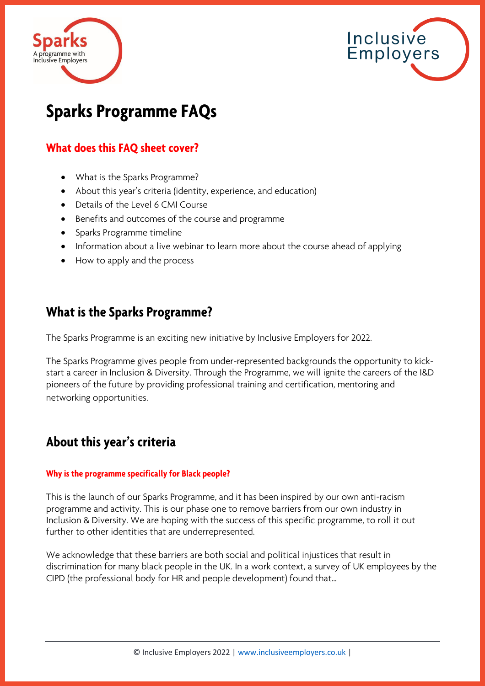



# **Sparks Programme FAQs**

### **What does this FAQ sheet cover?**

- What is the Sparks Programme?
- About this year's criteria (identity, experience, and education)
- Details of the Level 6 CMI Course
- Benefits and outcomes of the course and programme
- Sparks Programme timeline
- Information about a live webinar to learn more about the course ahead of applying
- How to apply and the process

### **What is the Sparks Programme?**

The Sparks Programme is an exciting new initiative by Inclusive Employers for 2022.

The Sparks Programme gives people from under-represented backgrounds the opportunity to kickstart a career in Inclusion & Diversity. Through the Programme, we will ignite the careers of the I&D pioneers of the future by providing professional training and certification, mentoring and networking opportunities.

## **About this year's criteria**

#### **Why is the programme specifically for Black people?**

This is the launch of our Sparks Programme, and it has been inspired by our own anti-racism programme and activity. This is our phase one to remove barriers from our own industry in Inclusion & Diversity. We are hoping with the success of this specific programme, to roll it out further to other identities that are underrepresented.

We acknowledge that these barriers are both social and political injustices that result in discrimination for many black people in the UK. In a work context, a survey of UK employees by the CIPD (the professional body for HR and people development) found that…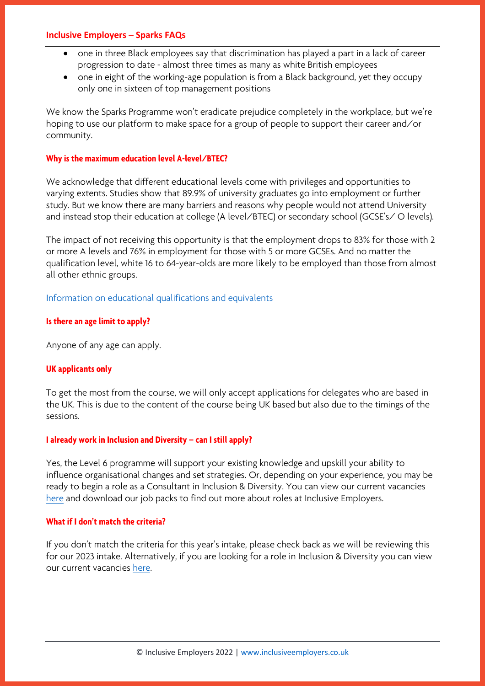#### **Inclusive Employers – Sparks FAQs**

- one in three Black employees say that discrimination has played a part in a lack of career progression to date - almost three times as many as white British employees
- one in eight of the working-age population is from a Black background, yet they occupy only one in sixteen of top management positions

We know the Sparks Programme won't eradicate prejudice completely in the workplace, but we're hoping to use our platform to make space for a group of people to support their career and/or community.

#### **Why is the maximum education level A-level/BTEC?**

We acknowledge that different educational levels come with privileges and opportunities to varying extents. Studies show that 89.9% of university graduates go into employment or further study. But we know there are many barriers and reasons why people would not attend University and instead stop their education at college (A level/BTEC) or secondary school (GCSE's/ O levels).

The impact of not receiving this opportunity is that the employment drops to 83% for those with 2 or more A levels and 76% in employment for those with 5 or more GCSEs. And no matter the qualification level, white 16 to 64-year-olds are more likely to be employed than those from almost all other ethnic groups.

[Information on educational qualifications and equivalents](https://www.gov.uk/what-different-qualification-levels-mean/list-of-qualification-levels)

#### **Is there an age limit to apply?**

Anyone of any age can apply.

#### **UK applicants only**

To get the most from the course, we will only accept applications for delegates who are based in the UK. This is due to the content of the course being UK based but also due to the timings of the sessions.

#### **I already work in Inclusion and Diversity – can I still apply?**

Yes, the Level 6 programme will support your existing knowledge and upskill your ability to influence organisational changes and set strategies. Or, depending on your experience, you may be ready to begin a role as a Consultant in Inclusion & Diversity. You can view our current vacancies [here](https://www.inclusiveemployers.co.uk/about/join-our-team/) and download our job packs to find out more about roles at Inclusive Employers.

#### **What if I don't match the criteria?**

If you don't match the criteria for this year's intake, please check back as we will be reviewing this for our 2023 intake. Alternatively, if you are looking for a role in Inclusion & Diversity you can view our current vacancies [here.](https://www.inclusiveemployers.co.uk/about/join-our-team/)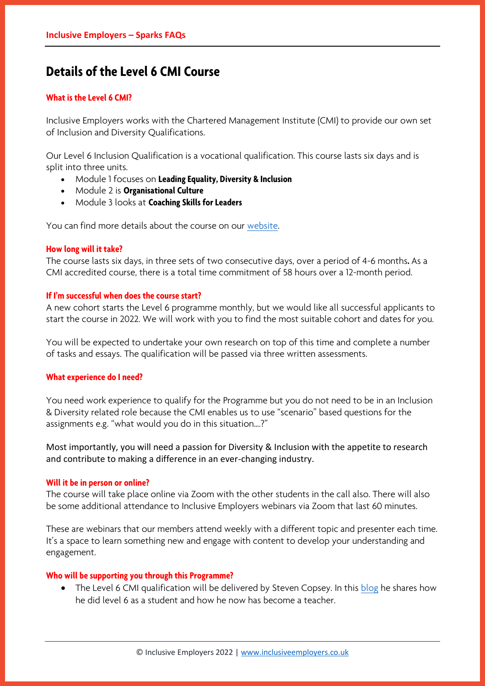# **Details of the Level 6 CMI Course**

#### **What is the Level 6 CMI?**

Inclusive Employers works with the Chartered Management Institute (CMI) to provide our own set of Inclusion and Diversity Qualifications.

Our Level 6 Inclusion Qualification is a vocational qualification. This course lasts six days and is split into three units.

- Module 1 focuses on **Leading Equality, Diversity & Inclusion**
- Module 2 is **Organisational Culture**
- Module 3 looks at **Coaching Skills for Leaders**

You can find more details about the course on our [website.](https://www.inclusiveemployers.co.uk/learning-and-development/inclusion-and-diversity-topics/leadership-and-development/inclusion-and-diversity-qualifications/)

#### **How long will it take?**

The course lasts six days, in three sets of two consecutive days, over a period of 4-6 months**.** As a CMI accredited course, there is a total time commitment of 58 hours over a 12-month period.

#### **If I'm successful when does the course start?**

A new cohort starts the Level 6 programme monthly, but we would like all successful applicants to start the course in 2022. We will work with you to find the most suitable cohort and dates for you.

You will be expected to undertake your own research on top of this time and complete a number of tasks and essays. The qualification will be passed via three written assessments.

#### **What experience do I need?**

You need work experience to qualify for the Programme but you do not need to be in an Inclusion & Diversity related role because the CMI enables us to use "scenario" based questions for the assignments e.g. "what would you do in this situation….?"

Most importantly, you will need a passion for Diversity & Inclusion with the appetite to research and contribute to making a difference in an ever-changing industry.

#### **Will it be in person or online?**

The course will take place online via Zoom with the other students in the call also. There will also be some additional attendance to Inclusive Employers webinars via Zoom that last 60 minutes.

These are webinars that our members attend weekly with a different topic and presenter each time. It's a space to learn something new and engage with content to develop your understanding and engagement.

#### **Who will be supporting you through this Programme?**

• The Level 6 CMI qualification will be delivered by Steven Copsey. In this [blog](https://www.inclusiveemployers.co.uk/inclusion-qualification-journey/) he shares how he did level 6 as a student and how he now has become a teacher.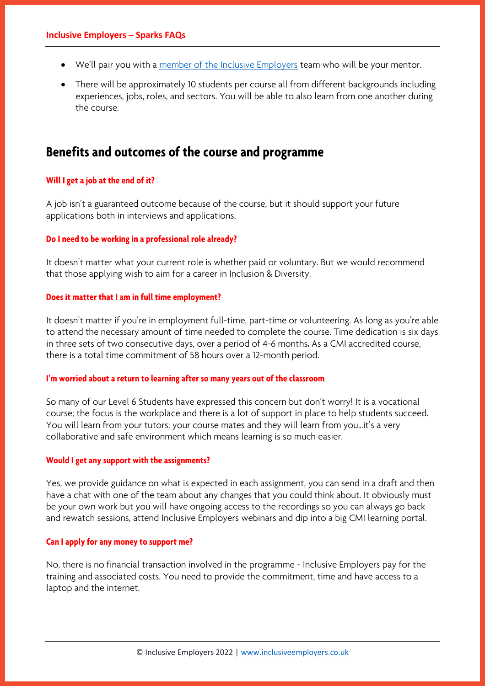- We'll pair you with a [member of the Inclusive Employers](https://www.inclusiveemployers.co.uk/about/meet-the-team/) team who will be your mentor.
- There will be approximately 10 students per course all from different backgrounds including experiences, jobs, roles, and sectors. You will be able to also learn from one another during the course.

### **Benefits and outcomes of the course and programme**

#### **Will I get a job at the end of it?**

A job isn't a guaranteed outcome because of the course, but it should support your future applications both in interviews and applications.

#### **Do I need to be working in a professional role already?**

It doesn't matter what your current role is whether paid or voluntary. But we would recommend that those applying wish to aim for a career in Inclusion & Diversity.

#### **Does it matter that I am in full time employment?**

It doesn't matter if you're in employment full-time, part-time or volunteering. As long as you're able to attend the necessary amount of time needed to complete the course. Time dedication is six days in three sets of two consecutive days, over a period of 4-6 months**.** As a CMI accredited course, there is a total time commitment of 58 hours over a 12-month period.

#### **I'm worried about a return to learning after so many years out of the classroom**

So many of our Level 6 Students have expressed this concern but don't worry! It is a vocational course; the focus is the workplace and there is a lot of support in place to help students succeed. You will learn from your tutors; your course mates and they will learn from you…it's a very collaborative and safe environment which means learning is so much easier.

#### **Would I get any support with the assignments?**

Yes, we provide guidance on what is expected in each assignment, you can send in a draft and then have a chat with one of the team about any changes that you could think about. It obviously must be your own work but you will have ongoing access to the recordings so you can always go back and rewatch sessions, attend Inclusive Employers webinars and dip into a big CMI learning portal.

#### **Can I apply for any money to support me?**

No, there is no financial transaction involved in the programme - Inclusive Employers pay for the training and associated costs. You need to provide the commitment, time and have access to a laptop and the internet.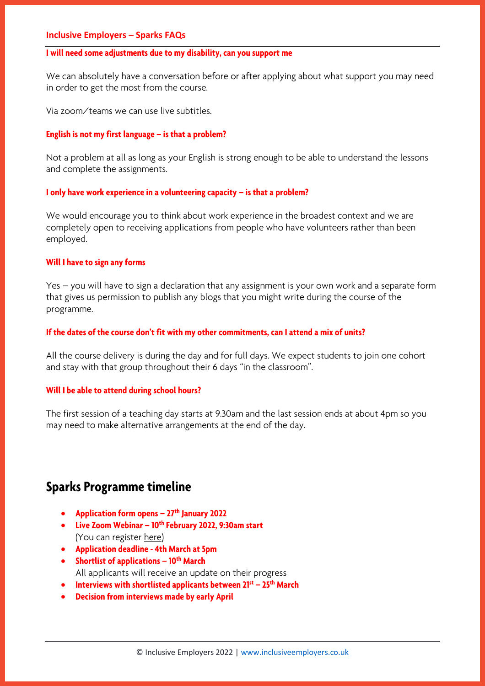#### **I will need some adjustments due to my disability, can you support me**

We can absolutely have a conversation before or after applying about what support you may need in order to get the most from the course.

Via zoom/teams we can use live subtitles.

#### **English is not my first language – is that a problem?**

Not a problem at all as long as your English is strong enough to be able to understand the lessons and complete the assignments.

#### **I** only have work experience in a volunteering capacity – is that a problem?

We would encourage you to think about work experience in the broadest context and we are completely open to receiving applications from people who have volunteers rather than been employed.

#### **Will I have to sign any forms**

Yes – you will have to sign a declaration that any assignment is your own work and a separate form that gives us permission to publish any blogs that you might write during the course of the programme.

#### **If the dates of the course don't fit with my other commitments, can I attend a mix of units?**

All the course delivery is during the day and for full days. We expect students to join one cohort and stay with that group throughout their 6 days "in the classroom".

#### **Will I be able to attend during school hours?**

The first session of a teaching day starts at 9.30am and the last session ends at about 4pm so you may need to make alternative arrangements at the end of the day.

### **Sparks Programme timeline**

- **Application form opens – 27th January 2022**
- **Live Zoom Webinar – 10th February 2022, 9:30am start**  (You can register [here\)](https://www.inclusiveemployers.co.uk/event/sparks-programme-qa/)
- **Application deadline - 4th March at 5pm**
- **Shortlist of applications – 10th March** All applicants will receive an update on their progress
- **Interviews with shortlisted applicants between 21st – 25th March**
- **Decision from interviews made by early April**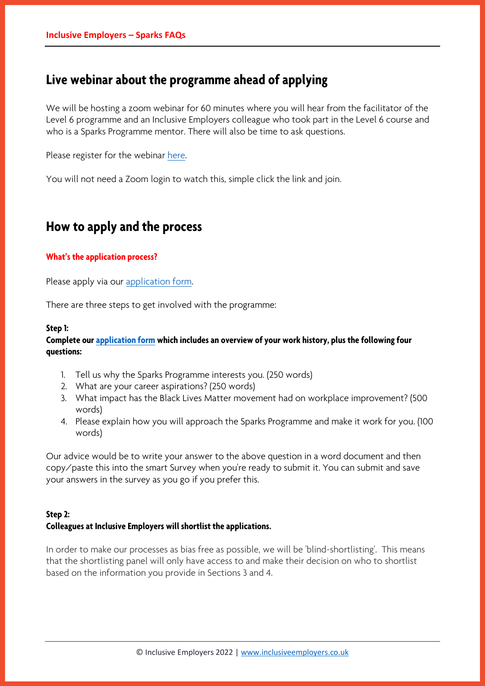### **Live webinar about the programme ahead of applying**

We will be hosting a zoom webinar for 60 minutes where you will hear from the facilitator of the Level 6 programme and an Inclusive Employers colleague who took part in the Level 6 course and who is a Sparks Programme mentor. There will also be time to ask questions.

Please register for the webinar [here.](https://www.inclusiveemployers.co.uk/event/sparks-programme-qa/)

You will not need a Zoom login to watch this, simple click the link and join.

## **How to apply and the process**

#### **What's the application process?**

Please apply via our [application form.](https://www.smartsurvey.co.uk/s/SparksProgrammeApplicationForm/)

There are three steps to get involved with the programme:

#### **Step 1:**

#### **Complete our [application form](https://www.smartsurvey.co.uk/s/SparksProgrammeApplicationForm/) which includes an overview of your work history, plus the following four questions:**

- 1. Tell us why the Sparks Programme interests you. (250 words)
- 2. What are your career aspirations? (250 words)
- 3. What impact has the Black Lives Matter movement had on workplace improvement? (500 words)
- 4. Please explain how you will approach the Sparks Programme and make it work for you. (100 words)

Our advice would be to write your answer to the above question in a word document and then copy/paste this into the smart Survey when you're ready to submit it. You can submit and save your answers in the survey as you go if you prefer this.

#### **Step 2:**

#### **Colleagues at Inclusive Employers will shortlist the applications.**

In order to make our processes as bias free as possible, we will be 'blind-shortlisting'. This means that the shortlisting panel will only have access to and make their decision on who to shortlist based on the information you provide in Sections 3 and 4.